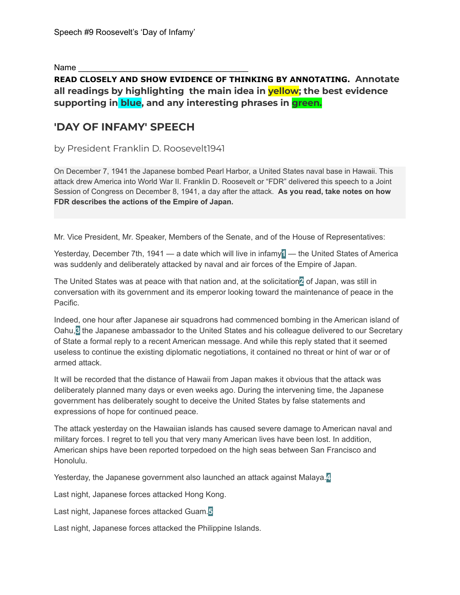Name

## **READ CLOSELY AND SHOW EVIDENCE OF THINKING BY ANNOTATING. Annotate all readings by highlighting the main idea in yellow; the best evidence supporting in blue, and any interesting phrases in green.**

# **'DAY OF INFAMY' SPEECH**

by President Franklin D. Roosevelt1941

On December 7, 1941 the Japanese bombed Pearl Harbor, a United States naval base in Hawaii. This attack drew America into World War II. Franklin D. Roosevelt or "FDR" delivered this speech to a Joint Session of Congress on December 8, 1941, a day after the attack. **As you read, take notes on how FDR describes the actions of the Empire of Japan.**

Mr. Vice President, Mr. Speaker, Members of the Senate, and of the House of Representatives:

Yesterday, December 7th, 1941 — a date which will live in infamy**1** — the United States of America was suddenly and deliberately attacked by naval and air forces of the Empire of Japan.

The United States was at peace with that nation and, at the solicitation**2** of Japan, was still in conversation with its government and its emperor looking toward the maintenance of peace in the Pacific.

Indeed, one hour after Japanese air squadrons had commenced bombing in the American island of Oahu,**3** the Japanese ambassador to the United States and his colleague delivered to our Secretary of State a formal reply to a recent American message. And while this reply stated that it seemed useless to continue the existing diplomatic negotiations, it contained no threat or hint of war or of armed attack.

It will be recorded that the distance of Hawaii from Japan makes it obvious that the attack was deliberately planned many days or even weeks ago. During the intervening time, the Japanese government has deliberately sought to deceive the United States by false statements and expressions of hope for continued peace.

The attack yesterday on the Hawaiian islands has caused severe damage to American naval and military forces. I regret to tell you that very many American lives have been lost. In addition, American ships have been reported torpedoed on the high seas between San Francisco and Honolulu.

Yesterday, the Japanese government also launched an attack against Malaya.**4**

Last night, Japanese forces attacked Hong Kong.

Last night, Japanese forces attacked Guam.**5**

Last night, Japanese forces attacked the Philippine Islands.